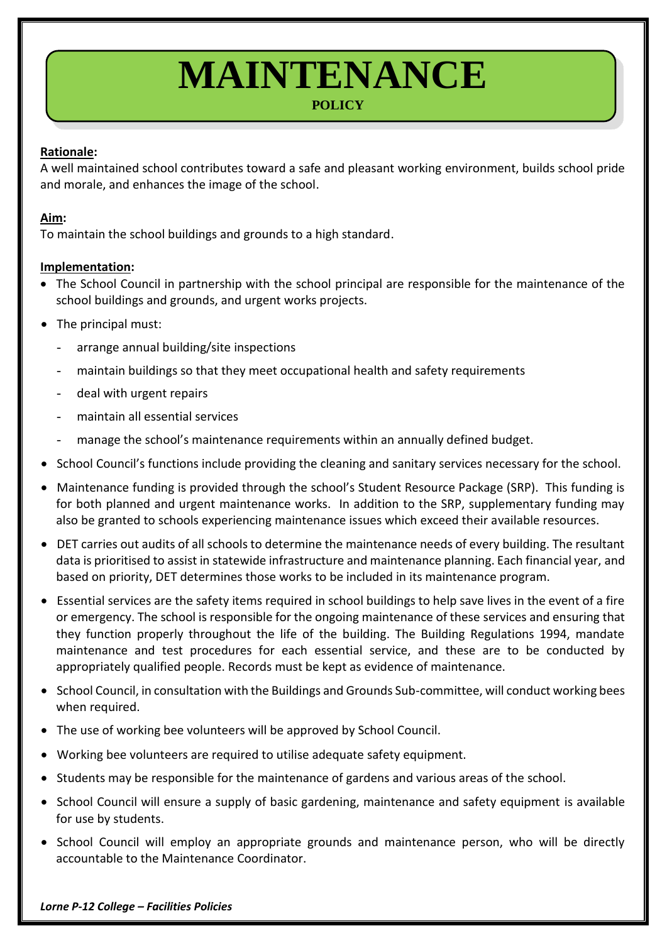# **MAINTENANCE**

# **POLICY**

## **Rationale:**

A well maintained school contributes toward a safe and pleasant working environment, builds school pride and morale, and enhances the image of the school.

#### **Aim:**

To maintain the school buildings and grounds to a high standard.

#### **Implementation:**

- The School Council in partnership with the school principal are responsible for the maintenance of the school buildings and grounds, and urgent works projects.
- The principal must:
	- arrange annual building/site inspections
	- maintain buildings so that they meet occupational health and safety requirements
	- deal with urgent repairs
	- maintain all essential services
	- manage the school's maintenance requirements within an annually defined budget.
- School Council's functions include providing the cleaning and sanitary services necessary for the school.
- Maintenance funding is provided through the school's Student Resource Package (SRP). This funding is for both planned and urgent maintenance works. In addition to the SRP, supplementary funding may also be granted to schools experiencing maintenance issues which exceed their available resources.
- DET carries out audits of all schools to determine the maintenance needs of every building. The resultant data is prioritised to assist in statewide infrastructure and maintenance planning. Each financial year, and based on priority, DET determines those works to be included in its maintenance program.
- Essential services are the safety items required in school buildings to help save lives in the event of a fire or emergency. The school is responsible for the ongoing maintenance of these services and ensuring that they function properly throughout the life of the building. The Building Regulations 1994, mandate maintenance and test procedures for each essential service, and these are to be conducted by appropriately qualified people. Records must be kept as evidence of maintenance.
- School Council, in consultation with the Buildings and Grounds Sub-committee, will conduct working bees when required.
- The use of working bee volunteers will be approved by School Council.
- Working bee volunteers are required to utilise adequate safety equipment.
- Students may be responsible for the maintenance of gardens and various areas of the school.
- School Council will ensure a supply of basic gardening, maintenance and safety equipment is available for use by students.
- School Council will employ an appropriate grounds and maintenance person, who will be directly accountable to the Maintenance Coordinator.